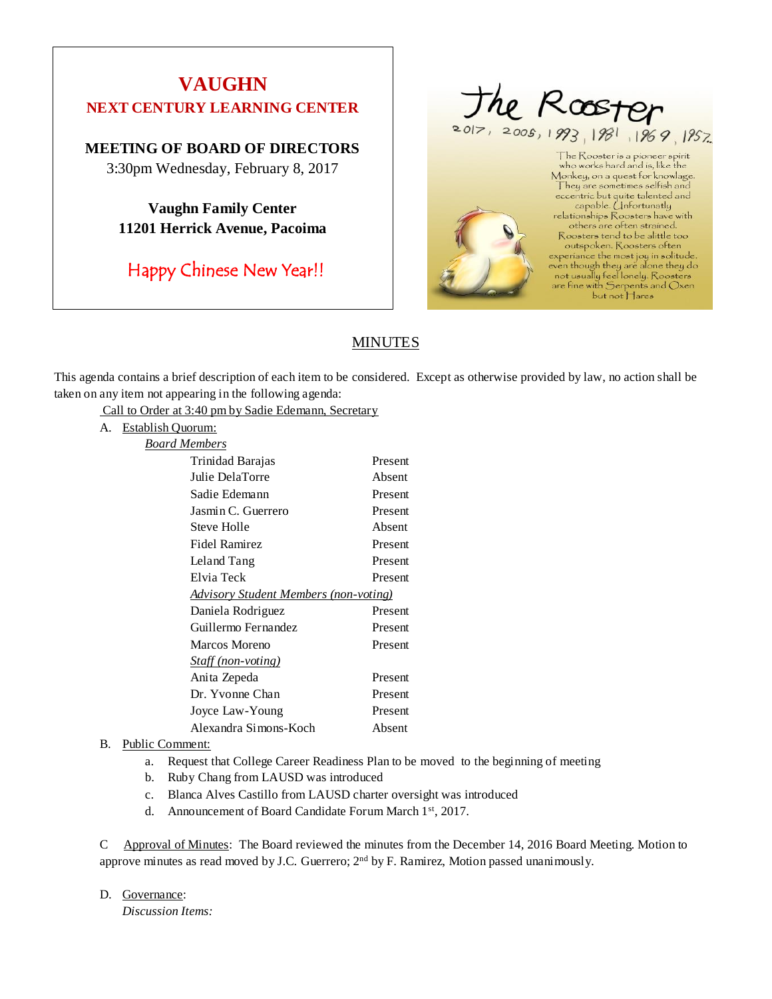# **VAUGHN NEXT CENTURY LEARNING CENTER**

# **MEETING OF BOARD OF DIRECTORS**

3:30pm Wednesday, February 8, 2017

**Vaughn Family Center 11201 Herrick Avenue, Pacoima**

Happy Chinese New Year!!



but not Hares

# **MINUTES**

This agenda contains a brief description of each item to be considered. Except as otherwise provided by law, no action shall be taken on any item not appearing in the following agenda:

Call to Order at 3:40 pm by Sadie Edemann, Secretary

A. Establish Quorum:

| Board Members                                 |         |
|-----------------------------------------------|---------|
| Trinidad Barajas                              | Present |
| Julie DelaTorre                               | Absent  |
| Sadie Edemann                                 | Present |
| Jasmin C. Guerrero                            | Present |
| <b>Steve Holle</b>                            | Absent  |
| Fidel Ramirez                                 | Present |
| Leland Tang                                   | Present |
| Elvia Teck                                    | Present |
| <u> Advisory Student Members (non-voting)</u> |         |
| Daniela Rodriguez                             | Present |
| Guillermo Fernandez                           | Present |
| Marcos Moreno                                 | Present |
| Staff (non-voting)                            |         |
| Anita Zepeda                                  | Present |
| Dr. Yvonne Chan                               | Present |
| Joyce Law-Young                               | Present |
| Alexandra Simons-Koch                         | Absent  |

# B. Public Comment:

- a. Request that College Career Readiness Plan to be moved to the beginning of meeting
- b. Ruby Chang from LAUSD was introduced
- c. Blanca Alves Castillo from LAUSD charter oversight was introduced
- d. Announcement of Board Candidate Forum March 1st, 2017.

C Approval of Minutes: The Board reviewed the minutes from the December 14, 2016 Board Meeting. Motion to approve minutes as read moved by J.C. Guerrero; 2<sup>nd</sup> by F. Ramirez, Motion passed unanimously.

D. Governance:

*Discussion Items:*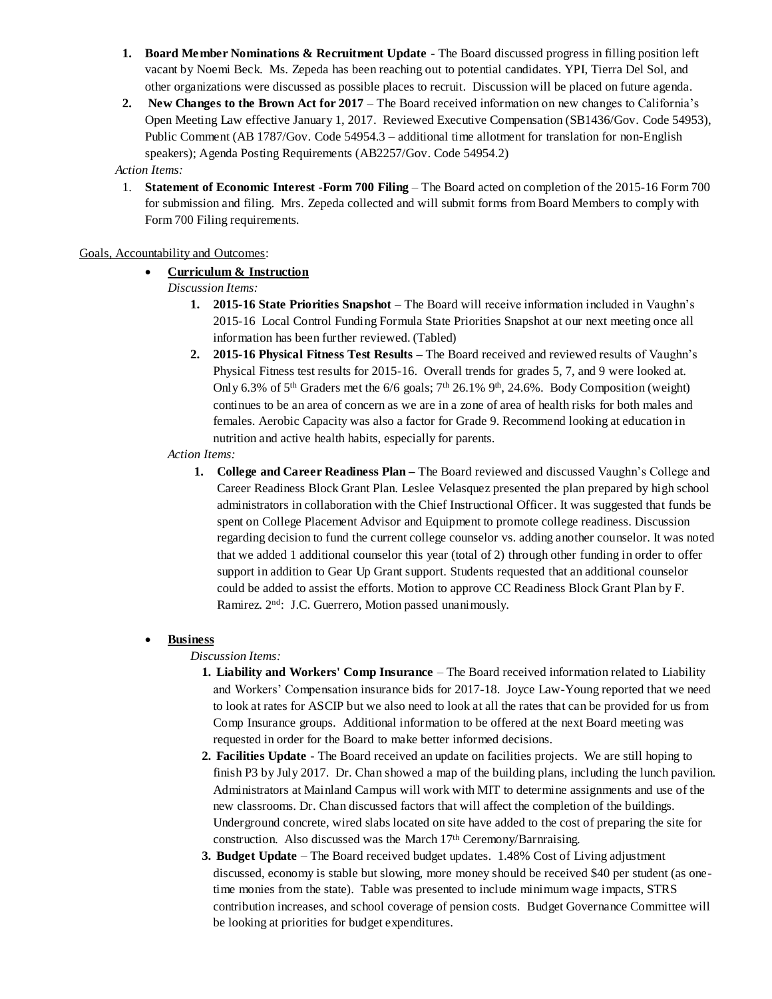- **1. Board Member Nominations & Recruitment Update** The Board discussed progress in filling position left vacant by Noemi Beck. Ms. Zepeda has been reaching out to potential candidates. YPI, Tierra Del Sol, and other organizations were discussed as possible places to recruit. Discussion will be placed on future agenda.
- **2. New Changes to the Brown Act for 2017** The Board received information on new changes to California's Open Meeting Law effective January 1, 2017. Reviewed Executive Compensation (SB1436/Gov. Code 54953), Public Comment (AB 1787/Gov. Code 54954.3 – additional time allotment for translation for non-English speakers); Agenda Posting Requirements (AB2257/Gov. Code 54954.2)

#### *Action Items:*

1. **Statement of Economic Interest -Form 700 Filing** – The Board acted on completion of the 2015-16 Form 700 for submission and filing. Mrs. Zepeda collected and will submit forms from Board Members to comply with Form 700 Filing requirements*.* 

#### Goals, Accountability and Outcomes:

# • **Curriculum & Instruction**

- *Discussion Items:*
	- **1. 2015-16 State Priorities Snapshot** The Board will receive information included in Vaughn's 2015-16 Local Control Funding Formula State Priorities Snapshot at our next meeting once all information has been further reviewed. (Tabled)
	- **2. 2015-16 Physical Fitness Test Results –** The Board received and reviewed results of Vaughn's Physical Fitness test results for 2015-16. Overall trends for grades 5, 7, and 9 were looked at. Only 6.3% of 5<sup>th</sup> Graders met the 6/6 goals; 7<sup>th</sup> 26.1% 9<sup>th</sup>, 24.6%. Body Composition (weight) continues to be an area of concern as we are in a zone of area of health risks for both males and females. Aerobic Capacity was also a factor for Grade 9. Recommend looking at education in nutrition and active health habits, especially for parents.
- *Action Items:*
	- **1. College and Career Readiness Plan –** The Board reviewed and discussed Vaughn's College and Career Readiness Block Grant Plan. Leslee Velasquez presented the plan prepared by high school administrators in collaboration with the Chief Instructional Officer. It was suggested that funds be spent on College Placement Advisor and Equipment to promote college readiness. Discussion regarding decision to fund the current college counselor vs. adding another counselor. It was noted that we added 1 additional counselor this year (total of 2) through other funding in order to offer support in addition to Gear Up Grant support. Students requested that an additional counselor could be added to assist the efforts. Motion to approve CC Readiness Block Grant Plan by F. Ramirez. 2<sup>nd</sup>: J.C. Guerrero, Motion passed unanimously.

#### • **Business**

#### *Discussion Items:*

- **1. Liability and Workers' Comp Insurance** The Board received information related to Liability and Workers' Compensation insurance bids for 2017-18. Joyce Law-Young reported that we need to look at rates for ASCIP but we also need to look at all the rates that can be provided for us from Comp Insurance groups. Additional information to be offered at the next Board meeting was requested in order for the Board to make better informed decisions.
- **2. Facilities Update -** The Board received an update on facilities projects. We are still hoping to finish P3 by July 2017. Dr. Chan showed a map of the building plans, including the lunch pavilion. Administrators at Mainland Campus will work with MIT to determine assignments and use of the new classrooms. Dr. Chan discussed factors that will affect the completion of the buildings. Underground concrete, wired slabs located on site have added to the cost of preparing the site for construction. Also discussed was the March 17th Ceremony/Barnraising.
- **3. Budget Update** The Board received budget updates. 1.48% Cost of Living adjustment discussed, economy is stable but slowing, more money should be received \$40 per student (as onetime monies from the state). Table was presented to include minimum wage impacts, STRS contribution increases, and school coverage of pension costs. Budget Governance Committee will be looking at priorities for budget expenditures.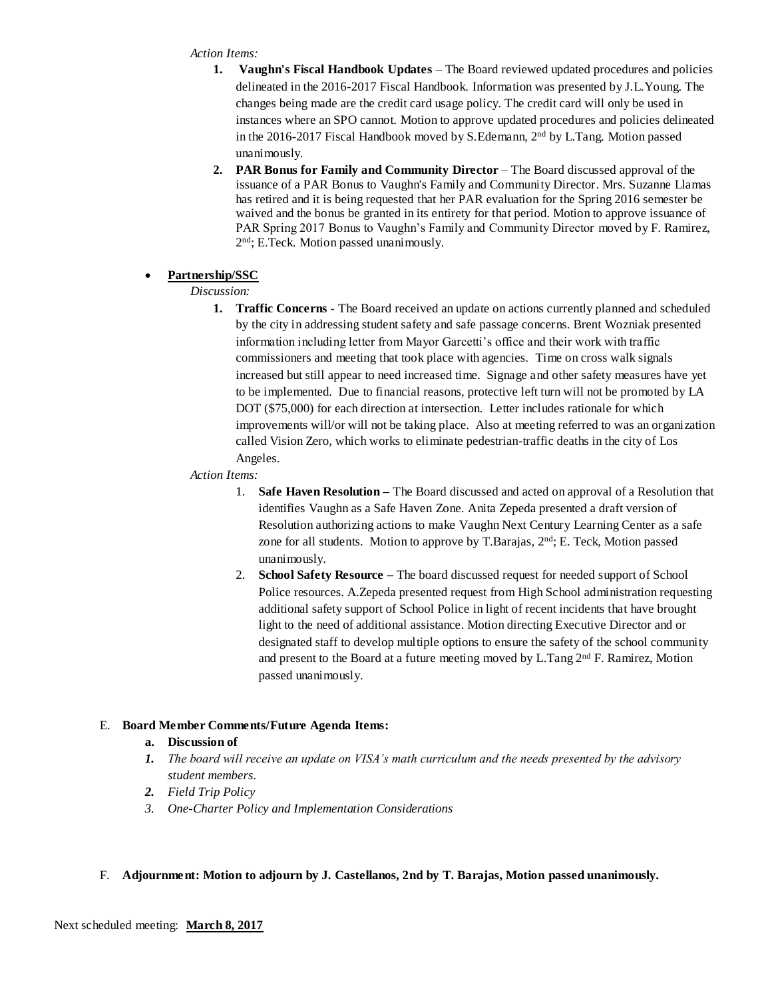#### *Action Items:*

- **1. Vaughn's Fiscal Handbook Updates** The Board reviewed updated procedures and policies delineated in the 2016-2017 Fiscal Handbook. Information was presented by J.L.Young. The changes being made are the credit card usage policy. The credit card will only be used in instances where an SPO cannot. Motion to approve updated procedures and policies delineated in the 2016-2017 Fiscal Handbook moved by S.Edemann, 2nd by L.Tang. Motion passed unanimously.
- **2. PAR Bonus for Family and Community Director** The Board discussed approval of the issuance of a PAR Bonus to Vaughn's Family and Community Director. Mrs. Suzanne Llamas has retired and it is being requested that her PAR evaluation for the Spring 2016 semester be waived and the bonus be granted in its entirety for that period. Motion to approve issuance of PAR Spring 2017 Bonus to Vaughn's Family and Community Director moved by F. Ramirez, 2 nd; E.Teck. Motion passed unanimously.

#### • **Partnership/SSC**

#### *Discussion:*

**1. Traffic Concerns** - The Board received an update on actions currently planned and scheduled by the city in addressing student safety and safe passage concerns. Brent Wozniak presented information including letter from Mayor Garcetti's office and their work with traffic commissioners and meeting that took place with agencies. Time on cross walk signals increased but still appear to need increased time. Signage and other safety measures have yet to be implemented. Due to financial reasons, protective left turn will not be promoted by LA DOT (\$75,000) for each direction at intersection. Letter includes rationale for which improvements will/or will not be taking place. Also at meeting referred to was an organization called Vision Zero, which works to eliminate pedestrian-traffic deaths in the city of Los Angeles.

#### *Action Items:*

- 1. **Safe Haven Resolution–** The Board discussed and acted on approval of a Resolution that identifies Vaughn as a Safe Haven Zone. Anita Zepeda presented a draft version of Resolution authorizing actions to make Vaughn Next Century Learning Center as a safe zone for all students. Motion to approve by T.Barajas, 2<sup>nd</sup>; E. Teck, Motion passed unanimously.
- 2. **School Safety Resource –** The board discussed request for needed support of School Police resources. A.Zepeda presented request from High School administration requesting additional safety support of School Police in light of recent incidents that have brought light to the need of additional assistance. Motion directing Executive Director and or designated staff to develop multiple options to ensure the safety of the school community and present to the Board at a future meeting moved by L.Tang 2nd F. Ramirez, Motion passed unanimously.

# E. **Board Member Comments/Future Agenda Items:**

#### **a. Discussion of**

- *1. The board will receive an update on VISA's math curriculum and the needs presented by the advisory student members.*
- *2. Field Trip Policy*
- *3. One-Charter Policy and Implementation Considerations*

#### F. **Adjournment: Motion to adjourn by J. Castellanos, 2nd by T. Barajas, Motion passed unanimously.**